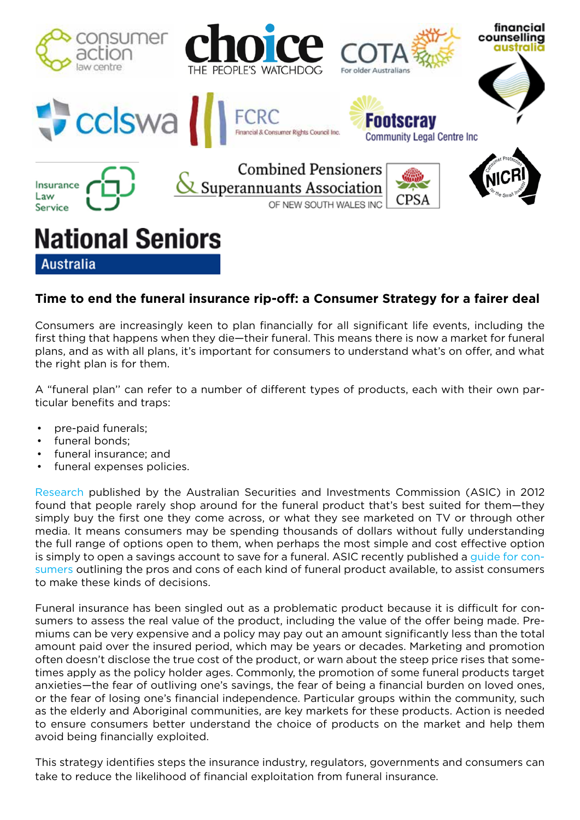

# **Time to end the funeral insurance rip-off: a Consumer Strategy for a fairer deal**

Consumers are increasingly keen to plan financially for all significant life events, including the first thing that happens when they die—their funeral. This means there is now a market for funeral plans, and as with all plans, it's important for consumers to understand what's on offer, and what the right plan is for them.

A "funeral plan'' can refer to a number of different types of products, each with their own particular benefits and traps:

- pre-paid funerals;
- funeral bonds:
- funeral insurance; and
- funeral expenses policies.

Research published by the Australian Securities and Investments Commission (ASIC) in 2012 found that people rarely shop around for the funeral product that's best suited for them—they simply buy the first one they come across, or what they see marketed on TV or through other media. It means consumers may be spending thousands of dollars without fully understanding the full range of options open to them, when perhaps the most simple and cost effective option is simply to open a savings account to save for a funeral. ASIC recently published a guide for consumers outlining the pros and cons of each kind of funeral product available, to assist consumers to make these kinds of decisions.

Funeral insurance has been singled out as a problematic product because it is difficult for consumers to assess the real value of the product, including the value of the offer being made. Premiums can be very expensive and a policy may pay out an amount significantly less than the total amount paid over the insured period, which may be years or decades. Marketing and promotion often doesn't disclose the true cost of the product, or warn about the steep price rises that sometimes apply as the policy holder ages. Commonly, the promotion of some funeral products target anxieties—the fear of outliving one's savings, the fear of being a financial burden on loved ones, or the fear of losing one's financial independence. Particular groups within the community, such as the elderly and Aboriginal communities, are key markets for these products. Action is needed to ensure consumers better understand the choice of products on the market and help them avoid being financially exploited.

This strategy identifies steps the insurance industry, regulators, governments and consumers can take to reduce the likelihood of financial exploitation from funeral insurance.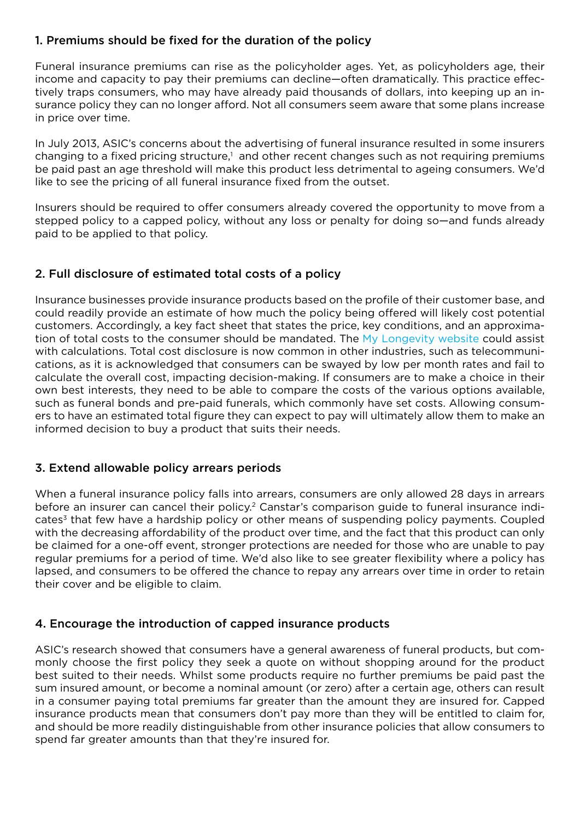# 1. Premiums should be fixed for the duration of the policy

Funeral insurance premiums can rise as the policyholder ages. Yet, as policyholders age, their income and capacity to pay their premiums can decline—often dramatically. This practice effectively traps consumers, who may have already paid thousands of dollars, into keeping up an insurance policy they can no longer afford. Not all consumers seem aware that some plans increase in price over time.

In July 2013, ASIC's concerns about the advertising of funeral insurance resulted in some insurers changing to a fixed pricing structure,<sup>1</sup> and other recent changes such as not requiring premiums be paid past an age threshold will make this product less detrimental to ageing consumers. We'd like to see the pricing of all funeral insurance fixed from the outset.

Insurers should be required to offer consumers already covered the opportunity to move from a stepped policy to a capped policy, without any loss or penalty for doing so—and funds already paid to be applied to that policy.

# 2. Full disclosure of estimated total costs of a policy

Insurance businesses provide insurance products based on the profile of their customer base, and could readily provide an estimate of how much the policy being offered will likely cost potential customers. Accordingly, a key fact sheet that states the price, key conditions, and an approximation of total costs to the consumer should be mandated. The My Longevity website could assist with calculations. Total cost disclosure is now common in other industries, such as telecommunications, as it is acknowledged that consumers can be swayed by low per month rates and fail to calculate the overall cost, impacting decision-making. If consumers are to make a choice in their own best interests, they need to be able to compare the costs of the various options available, such as funeral bonds and pre-paid funerals, which commonly have set costs. Allowing consumers to have an estimated total figure they can expect to pay will ultimately allow them to make an informed decision to buy a product that suits their needs.

# 3. Extend allowable policy arrears periods

When a funeral insurance policy falls into arrears, consumers are only allowed 28 days in arrears before an insurer can cancel their policy.<sup>2</sup> Canstar's comparison guide to funeral insurance indicates $3$  that few have a hardship policy or other means of suspending policy payments. Coupled with the decreasing affordability of the product over time, and the fact that this product can only be claimed for a one-off event, stronger protections are needed for those who are unable to pay regular premiums for a period of time. We'd also like to see greater flexibility where a policy has lapsed, and consumers to be offered the chance to repay any arrears over time in order to retain their cover and be eligible to claim.

# 4. Encourage the introduction of capped insurance products

ASIC's research showed that consumers have a general awareness of funeral products, but commonly choose the first policy they seek a quote on without shopping around for the product best suited to their needs. Whilst some products require no further premiums be paid past the sum insured amount, or become a nominal amount (or zero) after a certain age, others can result in a consumer paying total premiums far greater than the amount they are insured for. Capped insurance products mean that consumers don't pay more than they will be entitled to claim for, and should be more readily distinguishable from other insurance policies that allow consumers to spend far greater amounts than that they're insured for.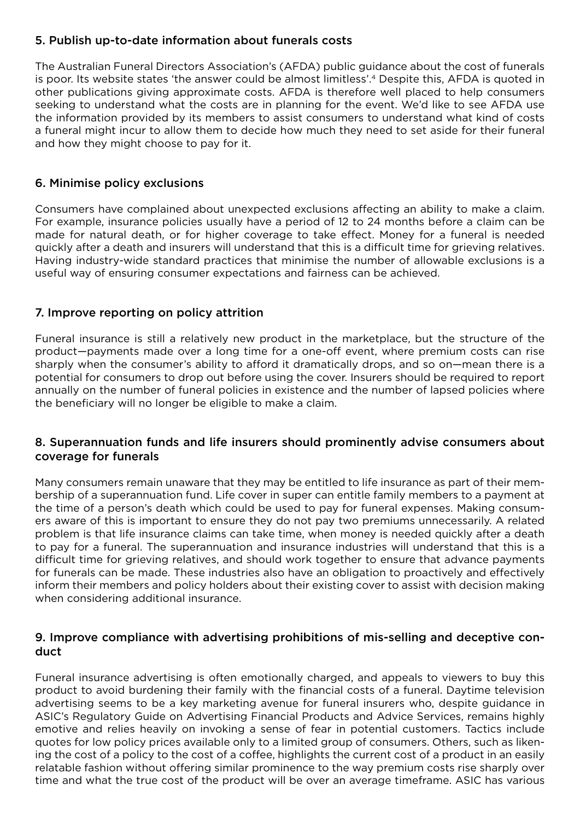# 5. Publish up-to-date information about funerals costs

The Australian Funeral Directors Association's (AFDA) public guidance about the cost of funerals is poor. Its website states 'the answer could be almost limitless'.4 Despite this, AFDA is quoted in other publications giving approximate costs. AFDA is therefore well placed to help consumers seeking to understand what the costs are in planning for the event. We'd like to see AFDA use the information provided by its members to assist consumers to understand what kind of costs a funeral might incur to allow them to decide how much they need to set aside for their funeral and how they might choose to pay for it.

### 6. Minimise policy exclusions

Consumers have complained about unexpected exclusions affecting an ability to make a claim. For example, insurance policies usually have a period of 12 to 24 months before a claim can be made for natural death, or for higher coverage to take effect. Money for a funeral is needed quickly after a death and insurers will understand that this is a difficult time for grieving relatives. Having industry-wide standard practices that minimise the number of allowable exclusions is a useful way of ensuring consumer expectations and fairness can be achieved.

## 7. Improve reporting on policy attrition

Funeral insurance is still a relatively new product in the marketplace, but the structure of the product—payments made over a long time for a one-off event, where premium costs can rise sharply when the consumer's ability to afford it dramatically drops, and so on—mean there is a potential for consumers to drop out before using the cover. Insurers should be required to report annually on the number of funeral policies in existence and the number of lapsed policies where the beneficiary will no longer be eligible to make a claim.

## 8. Superannuation funds and life insurers should prominently advise consumers about coverage for funerals

Many consumers remain unaware that they may be entitled to life insurance as part of their membership of a superannuation fund. Life cover in super can entitle family members to a payment at the time of a person's death which could be used to pay for funeral expenses. Making consumers aware of this is important to ensure they do not pay two premiums unnecessarily. A related problem is that life insurance claims can take time, when money is needed quickly after a death to pay for a funeral. The superannuation and insurance industries will understand that this is a difficult time for grieving relatives, and should work together to ensure that advance payments for funerals can be made. These industries also have an obligation to proactively and effectively inform their members and policy holders about their existing cover to assist with decision making when considering additional insurance.

## 9. Improve compliance with advertising prohibitions of mis-selling and deceptive conduct

Funeral insurance advertising is often emotionally charged, and appeals to viewers to buy this product to avoid burdening their family with the financial costs of a funeral. Daytime television advertising seems to be a key marketing avenue for funeral insurers who, despite guidance in ASIC's Regulatory Guide on Advertising Financial Products and Advice Services, remains highly emotive and relies heavily on invoking a sense of fear in potential customers. Tactics include quotes for low policy prices available only to a limited group of consumers. Others, such as likening the cost of a policy to the cost of a coffee, highlights the current cost of a product in an easily relatable fashion without offering similar prominence to the way premium costs rise sharply over time and what the true cost of the product will be over an average timeframe. ASIC has various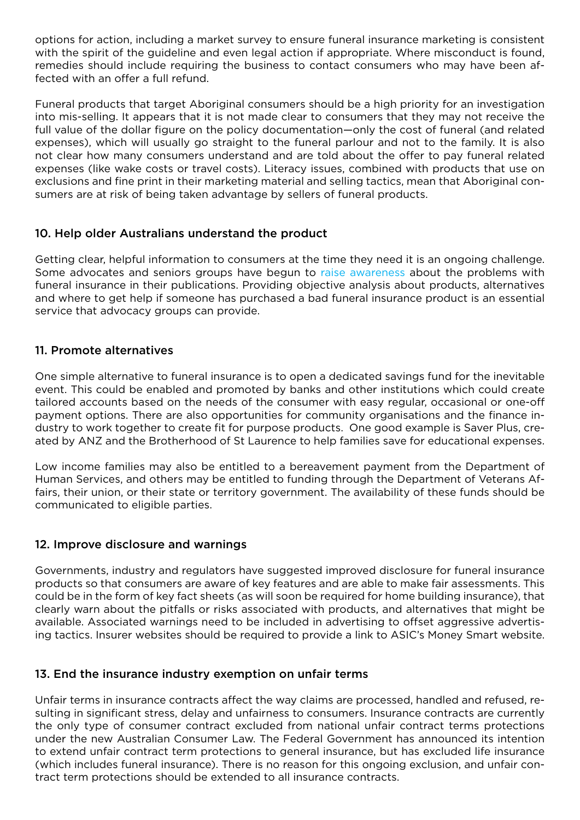options for action, including a market survey to ensure funeral insurance marketing is consistent with the spirit of the guideline and even legal action if appropriate. Where misconduct is found, remedies should include requiring the business to contact consumers who may have been affected with an offer a full refund.

Funeral products that target Aboriginal consumers should be a high priority for an investigation into mis-selling. It appears that it is not made clear to consumers that they may not receive the full value of the dollar figure on the policy documentation—only the cost of funeral (and related expenses), which will usually go straight to the funeral parlour and not to the family. It is also not clear how many consumers understand and are told about the offer to pay funeral related expenses (like wake costs or travel costs). Literacy issues, combined with products that use on exclusions and fine print in their marketing material and selling tactics, mean that Aboriginal consumers are at risk of being taken advantage by sellers of funeral products.

# 10. Help older Australians understand the product

Getting clear, helpful information to consumers at the time they need it is an ongoing challenge. Some advocates and seniors groups have begun to raise awareness about the problems with funeral insurance in their publications. Providing objective analysis about products, alternatives and where to get help if someone has purchased a bad funeral insurance product is an essential service that advocacy groups can provide.

### 11. Promote alternatives

One simple alternative to funeral insurance is to open a dedicated savings fund for the inevitable event. This could be enabled and promoted by banks and other institutions which could create tailored accounts based on the needs of the consumer with easy regular, occasional or one-off payment options. There are also opportunities for community organisations and the finance industry to work together to create fit for purpose products. One good example is Saver Plus, created by ANZ and the Brotherhood of St Laurence to help families save for educational expenses.

Low income families may also be entitled to a bereavement payment from the Department of Human Services, and others may be entitled to funding through the Department of Veterans Affairs, their union, or their state or territory government. The availability of these funds should be communicated to eligible parties.

### 12. Improve disclosure and warnings

Governments, industry and regulators have suggested improved disclosure for funeral insurance products so that consumers are aware of key features and are able to make fair assessments. This could be in the form of key fact sheets (as will soon be required for home building insurance), that clearly warn about the pitfalls or risks associated with products, and alternatives that might be available. Associated warnings need to be included in advertising to offset aggressive advertising tactics. Insurer websites should be required to provide a link to ASIC's Money Smart website.

### 13. End the insurance industry exemption on unfair terms

Unfair terms in insurance contracts affect the way claims are processed, handled and refused, resulting in significant stress, delay and unfairness to consumers. Insurance contracts are currently the only type of consumer contract excluded from national unfair contract terms protections under the new Australian Consumer Law. The Federal Government has announced its intention to extend unfair contract term protections to general insurance, but has excluded life insurance (which includes funeral insurance). There is no reason for this ongoing exclusion, and unfair contract term protections should be extended to all insurance contracts.